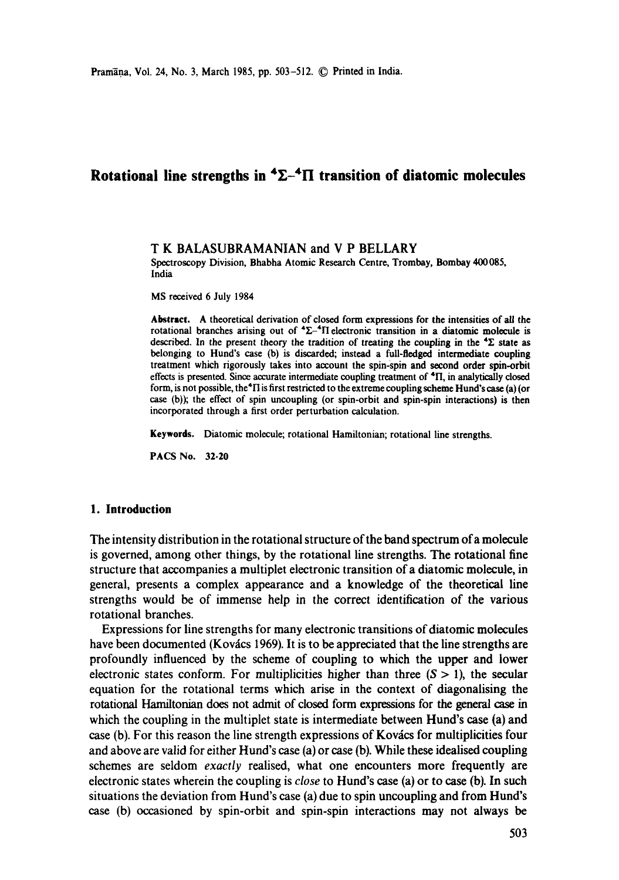# **Rotational line strengths in**  ${}^4\Sigma$ **-4II transition of diatomic molecules**

#### **T K BALASUBRAMANIAN and V P BELLARY**

Spectroscopy Division, Bhabha Atomic Research Centre, Trombay, Bombay 400085, India

MS received 6 July 1984

**Abstract.** A theoretical derivation of closed form expressions for the intensities of all the rotational branches arising out of  ${}^{4}\Sigma_{-}{}^{4}\Pi$  electronic transition in a diatomic molecule is described. In the present theory the tradition of treating the coupling in the  $\mathbf{E}$  state as belonging to Hund's case (b) is discarded; instead a full-fledged intermediate coupling treatment which rigorously takes into account the spin-spin and second order spin-orbit effects is presented. Since accurate intermediate coupling treatment of "II, in analytically closed form, is not possible, the<sup>4</sup>II is first restricted to the extreme coupling scheme Hund's case (a) (or case (b)); the effect of spin uncoupling (or spin-orbit and spin-spin interactions) is then incorporated through a first order perturbation calculation.

Keywords. Diatomic molecule; rotational Hamiltonian; rotational line strengths.

PACS No. 32.20

### **1. Introduction**

The intensity distribution in the rotational structure of the band spectrum of a molecule is governed, among other things, by the rotational line strengths. The rotational fine structure that accompanies a multiplet electronic transition of a diatomic molecule, in general, presents a complex appearance and a knowledge of the theoretical line strengths would be of immense help in the correct identification of the various rotational branches.

Expressions for line strengths for many electronic transitions of diatomic molecules have been documented (Kovács 1969). It is to be appreciated that the line strengths are profoundly influenced by the scheme of coupling to which the upper and lower electronic states conform. For multiplicities higher than three  $(S > 1)$ , the secular equation for the rotational terms which arise in the context of diagonalising the rotational Hamiltonian does not admit of closed form expressions for the general case in which the coupling in the multiplet state is intermediate between Hund's case (a) and case (b). For this reason the line strength expressions of Kovács for multiplicities four and above are valid for either Hund's case (a) or case (b). While these idealised coupling schemes are seldom *exactly* realised, what one encounters more frequently are electronic states wherein the coupling is *close* to Hund's case (a) or to case (b). In such situations the deviation from Hund's case (a) due to spin uncoupling and from Hund's case (b) occasioned by spin-orbit and spin-spin interactions may not always be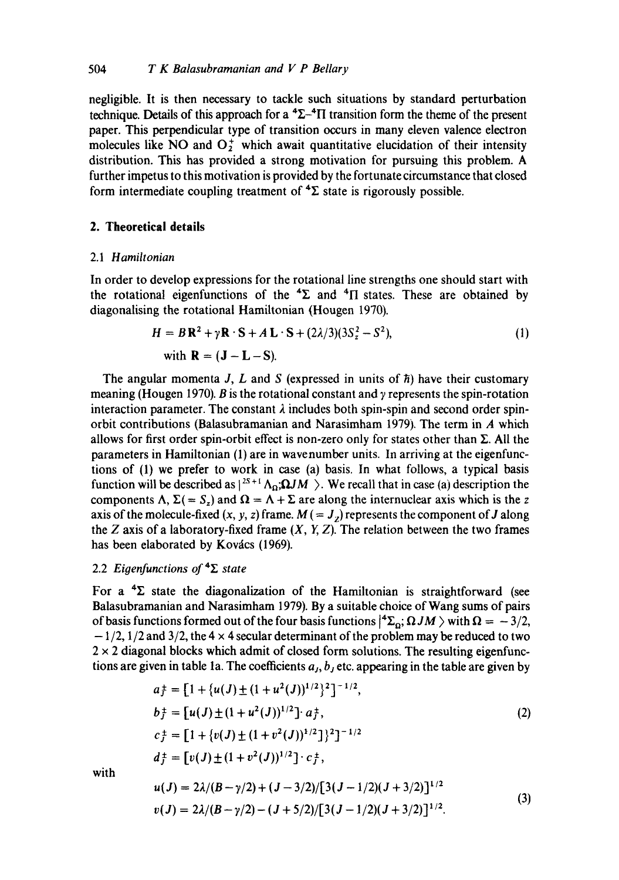negligible. It is then necessary to tackle such situations by standard perturbation technique. Details of this approach for a  ${}^{4}\Sigma_{-}{}^{4}\Pi$  transition form the theme of the present paper. This perpendicular type of transition occurs in many eleven valence electron molecules like NO and  $O_2^+$  which await quantitative elucidation of their intensity distribution. This has provided a strong motivation for pursuing this problem. A further impetus to this motivation is provided by the fortunate circumstance that closed form intermediate coupling treatment of  ${}^{4}\Sigma$  state is rigorously possible.

## **2. Theoretical details**

#### 2.1 *Hamiltonian*

In order to develop expressions for the rotational line strengths one should start with the rotational eigenfunctions of the  ${}^{4}\Sigma$  and  ${}^{4}\Pi$  states. These are obtained by diagonalising the rotational Hamiltonian (Hougen 1970).

$$
H = B\mathbf{R}^2 + \gamma \mathbf{R} \cdot \mathbf{S} + A\mathbf{L} \cdot \mathbf{S} + (2\lambda/3)(3S_z^2 - S^2),
$$
  
with  $\mathbf{R} = (\mathbf{J} - \mathbf{L} - \mathbf{S}).$  (1)

The angular momenta J, L and S (expressed in units of  $\hbar$ ) have their customary meaning (Hougen 1970). B is the rotational constant and  $\gamma$  represents the spin-rotation interaction parameter. The constant  $\lambda$  includes both spin-spin and second order spinorbit contributions (Balasubramanian and Narasimham 1979). The term in A which allows for first order spin-orbit effect is non-zero only for states other than  $\Sigma$ . All the parameters in Hamiltonian (1) are in wavenumber units. In arriving at the eigenfunctions of (1) we prefer to work in case (a) basis. In what follows, a typical basis function will be described as  $1^{2s+1}\Lambda_{\Omega}$ ;  $\Omega JM >$ . We recall that in case (a) description the components  $\Lambda$ ,  $\Sigma (= S_z)$  and  $\Omega = \Lambda + \Sigma$  are along the internuclear axis which is the z axis of the molecule-fixed  $(x, y, z)$  frame.  $M = J_z$ ) represents the component of J along the Z axis of a laboratory-fixed frame  $(X, Y, Z)$ . The relation between the two frames has been elaborated by Kovács (1969).

## 2.2 *Eigenfunctions of*  $4\Sigma$  *state*

For a  ${}^{4}\Sigma$  state the diagonalization of the Hamiltonian is straightforward (see Balasubramanian and Narasimham 1979). By a suitable choice of Wang sums of pairs of basis functions formed out of the four basis functions  $|^{4}\Sigma_{0}$ ;  $\Omega JM$  ) with  $\Omega = -3/2$ , **-** 1/2, 1/2 and 3/2, the 4 x 4 secular determinant of the problem may be reduced to two  $2 \times 2$  diagonal blocks which admit of closed form solutions. The resulting eigenfunctions are given in table 1a. The coefficients  $a_j, b_j$  etc. appearing in the table are given by

$$
a_{\overline{J}} = [1 + \{u(J) \pm (1 + u^2(J))^{1/2}\}^2]^{-1/2},
$$
  
\n
$$
b_{J}^{\pm} = [u(J) \pm (1 + u^2(J))^{1/2}] \cdot a_{J}^{\pm},
$$
  
\n
$$
c_{J}^{\pm} = [1 + \{v(J) \pm (1 + v^2(J))^{1/2}\}^2]^{-1/2}
$$
  
\n
$$
d_{J}^{\pm} = [v(J) \pm (1 + v^2(J))^{1/2}] \cdot c_{J}^{\pm},
$$
\n(2)

with

$$
u(J) = 2\lambda/(B - \gamma/2) + (J - 3/2)/[3(J - 1/2)(J + 3/2)]^{1/2}
$$
  
\n
$$
v(J) = 2\lambda/(B - \gamma/2) - (J + 5/2)/[3(J - 1/2)(J + 3/2)]^{1/2}.
$$
 (3)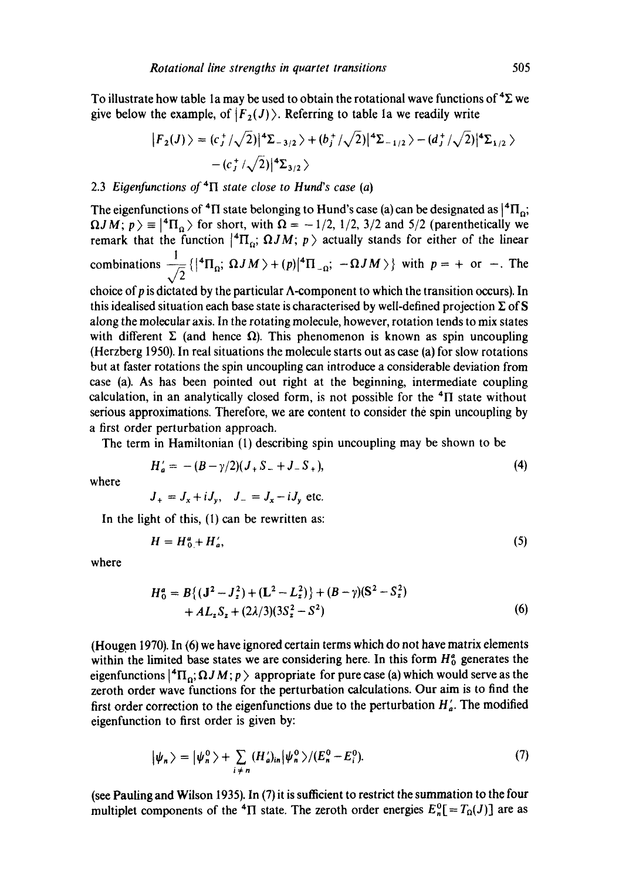To illustrate how table 1a may be used to obtain the rotational wave functions of  ${}^4\Sigma$  we give below the example, of  $|F_2(J)\rangle$ . Referring to table 1a we readily write

$$
|F_2(J)\rangle = (c_J^+/\sqrt{2})|^4 \Sigma_{-3/2} + (b_J^+/\sqrt{2})|^4 \Sigma_{-1/2} - (d_J^+/\sqrt{2})|^4 \Sigma_{1/2} \rangle
$$
  
 
$$
-(c_J^+/\sqrt{2})|^4 \Sigma_{3/2} \rangle
$$

## 2.3 *Eigenfunctions of*  ${}^4\Pi$  *state close to Hund's case (a)*

The eigenfunctions of <sup>4</sup>H state belonging to Hund's case (a) can be designated as  $|^{4}$ H<sub>0</sub>;  $\Omega J M$ ;  $p$  =  $|{}^4\Pi_0$  for short, with  $\Omega = -1/2$ , 1/2, 3/2 and 5/2 (parenthetically we remark that the function  $|{}^4\Pi_o$ ;  $\Omega JM$ ;  $p \rangle$  actually stands for either of the linear combinations  $\frac{1}{\sqrt{2}}\left\{ \left|^{4}\Pi_{\Omega} ; \Omega JM \right\rangle + (p)|^{4}\Pi_{-\Omega} ; -\Omega JM \right\}$  with  $p = +$  or  $-$ . The choice of p is dictated by the particular  $\Lambda$ -component to which the transition occurs). In this idealised situation each base state is characterised by well-defined projection  $\Sigma$  of S along the molecular axis. In the rotating molecule, however, rotation tends to mix states with different  $\Sigma$  (and hence  $\Omega$ ). This phenomenon is known as spin uncoupling (Herzberg 1950). In real situations the molecule starts out as case (a) for slow rotations but at faster rotations the spin uncoupling can introduce a considerable deviation from case (a). As has been pointed out right at the beginning, intermediate coupling calculation, in an analytically closed form, is not possible for the  ${}^{4}$ II state without serious approximations. Therefore, we are content to consider the spin uncoupling by

The term in Hamiltonian (1) describing spin uncoupling may be shown to be

$$
H'_{a} = -(B - \gamma/2)(J_{+}S_{-} + J_{-}S_{+}),
$$
\n(4)

where

$$
J_{+} = J_{x} + iJ_{y}, \quad J_{-} = J_{x} - iJ_{y}
$$
 etc.

In the light of this, (I) can be rewritten as:

a first order perturbation approach.

$$
H = H_0^a + H_a',\tag{5}
$$

where

$$
H_0^a = B\{(J^2 - J_z^2) + (L^2 - L_z^2)\} + (B - \gamma)(S^2 - S_z^2) + A L_z S_z + (2\lambda/3)(3S_z^2 - S^2)
$$
 (6)

(Hougen 1970). In (6) we have ignored certain terms which do not have matrix elements within the limited base states we are considering here. In this form  $H_0^a$  generates the eigenfunctions  $\{^4\Pi_o; \Omega J M; p \}$  appropriate for pure case (a) which would serve as the zeroth order wave functions for the perturbation calculations. Our aim is to find the first order correction to the eigenfunctions due to the perturbation  $H'_{\alpha}$ . The modified eigenfunction to first order is given by:

$$
|\psi_n\rangle = |\psi_n^0\rangle + \sum_{i \neq n} (H'_a)_{in} |\psi_n^0\rangle / (E_n^0 - E_i^0). \tag{7}
$$

(see Pauling and Wilson **1935).** In (7) it is sufficient to restrict the summation to the four multiplet components of the <sup>4</sup> $\Pi$  state. The zeroth order energies  $E_n^0$ [= $T_\Omega(J)$ ] are as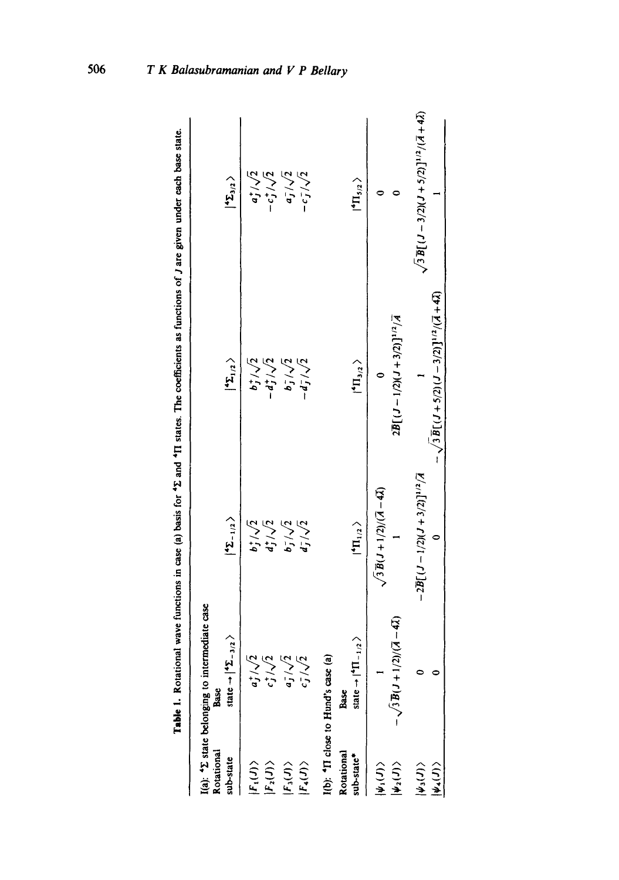| Rotational<br>sub-state                                               | I(a): 42 state belonging to intermediate case<br>state $\rightarrow$ $ 4\Sigma_{-3/2} \rangle$<br><b>Base</b> | $ \mathbf{z}_{-1/2}\rangle$                                        | $ \ensuremath{^4\Sigma_{1/2}}\xspace\rangle$                            | $ \ensuremath{^4\Sigma_{3/2}}\xspace\rangle$         |
|-----------------------------------------------------------------------|---------------------------------------------------------------------------------------------------------------|--------------------------------------------------------------------|-------------------------------------------------------------------------|------------------------------------------------------|
| $ F_2(J)\rangle$<br>$ F_1(J)\rangle$                                  | $a_j^+/\sqrt{2}$                                                                                              |                                                                    | $b_1^+/\sqrt{2}$<br>- dj / $\sqrt{2}$                                   | $a_j^*/\sqrt{2}$<br>$-c_{J}^{+}/\sqrt{2}$            |
| $ F_3(J)\rangle$<br>$ F_4(J)\rangle$                                  | $a_{\rm J}^2/\sqrt{2}$<br>$c_J^-/\sqrt{2}$                                                                    | $b_1^+(1)$<br>$d_1^+(1)$<br>$b_1^-(1)$<br>$d_1^-(1)$<br>$d_1^-(1)$ | $b_j^2/\sqrt{2}$<br>- $d_j^2/\sqrt{2}$                                  | $a_J^2/\sqrt{2}$<br>$-c_J^2/\sqrt{2}$                |
| Rotational<br>sub-state <sup>*</sup>                                  | $-1/2$<br>I(b): <sup>4</sup> II close to Hund's case (a<br>state $\rightarrow$ [ <sup>4</sup> II.<br>Base     | $ {}^4\Pi_{1/2}\rangle$                                            | $\langle \mathbf{H}_{\mathbf{1}_{3/2}} \rangle$                         | $ {}^4\Pi_{5/2}\,\rangle$                            |
| $ \psi_{\scriptscriptstyle 1}(J)\rangle$<br>$\vert\psi_{2}(J)\rangle$ | $-\sqrt{3}B(J+1/2)/(A-4\lambda)$                                                                              | $\sqrt{3 B(J+1/2)/(A-4\lambda)}$                                   | $2\overline{B}[(J-1/2)(J+3/2)]^{1/2}/\overline{A}$                      |                                                      |
| $ \psi_3(J)\rangle$<br>$\ket{\psi_*(J)}$                              |                                                                                                               | $-2\overline{B}[(1-1/2)(1+3/2)]^{1/2}/\overline{A}$                | $-\sqrt{3\,\overline{B}\left[(J+5/2)(J-3/2)\right]^{1/2}/(J+4\lambda)}$ | $\sqrt{3B[(J-3/2)(J+5/2)]^{1/2}/(\bar{A}+4\bar{Z})}$ |
|                                                                       |                                                                                                               |                                                                    |                                                                         |                                                      |

**Table 1.** Rotational wave functions in case (a) basis for  $*2$  and  $*1$  states. The coefficients as functions of J are given under each base state. Table 1. Rotational wave functions in case (a) basis for <sup>4</sup>2 and <sup>4</sup>II states. The coefficients as functions of J are given under each base state.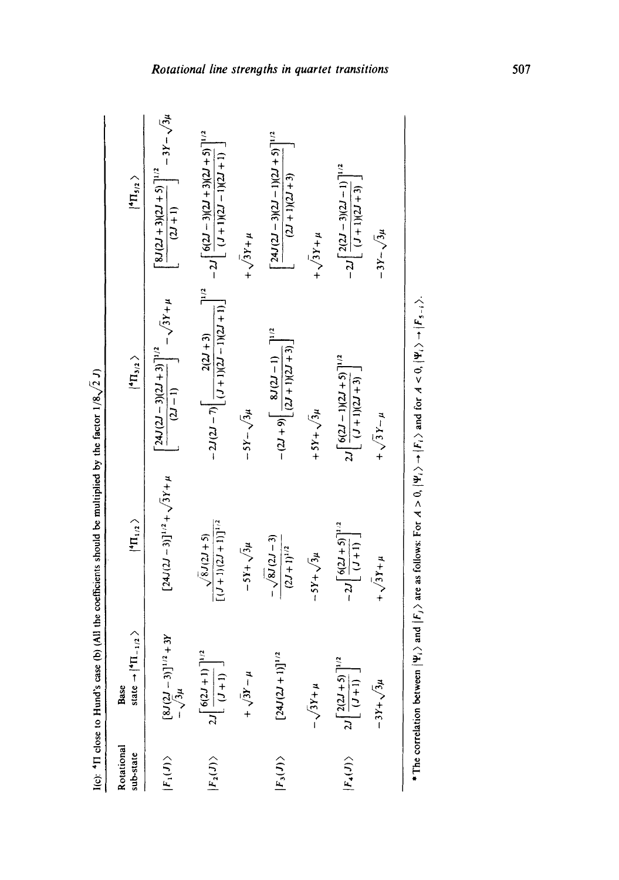|                         |                                                                           | I(c): $4\pi$ close to Hund's case (b) (All the coefficients should be multiplied by the factor $1/8\sqrt{2}$ J) |                                                                                     |                                                                                           |
|-------------------------|---------------------------------------------------------------------------|-----------------------------------------------------------------------------------------------------------------|-------------------------------------------------------------------------------------|-------------------------------------------------------------------------------------------|
| Rotational<br>sub-state | state $\rightarrow$ $\mid$ <sup>4</sup> $\Pi$ <sub>-1/2</sub> $>$<br>Base | $ 4\Pi_{1/2}\rangle$                                                                                            | $\langle \mathbf{n}_{\mathbf{3/2}} \rangle$                                         | $ {}^4\Pi_{5/2}$ $\rangle$                                                                |
| $ F_1(J)\rangle$        | $[8J(2J-3)]^{1/2}+3Y$<br>$-\sqrt{3}\mu$                                   | $[24J(2J-3)]^{1/2} + \sqrt{3}Y + \mu$                                                                           | $(2J-1)$ $-\sqrt{3}Y+\mu$<br>$\left[24J(2J-3)(2J+3)\right]^{1/2}$                   | $-3Y-\sqrt{3}\mu$<br>$\left[ 8J(2J+3)(2J+5)\right]^{1/2}$<br>$\frac{2J+1}{J}$             |
| $ F_2(J)\rangle$        | $2J\left[\frac{6(2J+1)}{(J+1)}\right]^{1/2}$                              | $[(J+1)(2J+1)]^{1/2}$<br>$\sqrt{8J(2J+5)}$                                                                      | 71/2<br>$-2J(2J-7)\left[\frac{2(2J+3)}{(J+1)(2J-1)(2J+1)}\right]$                   | $-2J$ $6(2J-3)(2J+3)(2J+5)$ <sup>1/2</sup><br>$\lfloor (J+1)(2J-1)(2J+1) \rfloor$         |
|                         | + $\sqrt{3}Y-\mu$                                                         | $-5Y + \sqrt{3}\mu$                                                                                             | $-5Y - \sqrt{3}\mu$                                                                 | $+\sqrt{3}Y+\mu$                                                                          |
| $ F_3(J)\rangle$        | $[24J(2J+1)]^{1/2}$                                                       | $-\sqrt{8J(2J-3)}$<br>$(2J+1)^{1/2}$                                                                            | $-(2J+9)\left[\frac{8J(2J-1)}{(2J+1)(2J+3)}\right]^{1/2}$                           | $\left[24J(2J-3)(2J-1)(2J+5)\right]^{1/2}$<br>$(2J+1)(2J+3)$                              |
|                         | $-\sqrt{3}Y+\mu$                                                          | $-5Y + \sqrt{3}\mu$                                                                                             | $+5Y + \sqrt{3}\mu$                                                                 | $+\sqrt{3Y+\mu}$                                                                          |
| $ F_4(J)\rangle$        | $2J\left[\frac{2(2J+5)}{(J+1)}\right]^{1/2}$                              | $-2J\left[\frac{6(2J+5)}{2}\right]^{1/2}$<br>$\lfloor$ (J+1) $\rfloor$                                          | $2J\left[\frac{6(2J-1)(2J+5)}{1^{1/2}}\right]$<br>$\left[\sqrt{(J+1)(2J+3)}\right]$ | $-2J\left \frac{2(2J-3)(2J-1)}{I}\right ^{1/2}$<br>$\left[ \frac{(1+1)(2i+3)}{2} \right]$ |
|                         | $-3Y + \sqrt{3}\mu$                                                       | $+\sqrt{3}Y+\mu$                                                                                                | $+\sqrt{3Y-\mu}$                                                                    | $-3Y - \sqrt{3}\mu$                                                                       |
|                         |                                                                           |                                                                                                                 |                                                                                     |                                                                                           |

| ł                                   |
|-------------------------------------|
|                                     |
|                                     |
|                                     |
|                                     |
|                                     |
|                                     |
| $\ddot{}}$                          |
|                                     |
|                                     |
|                                     |
|                                     |
|                                     |
|                                     |
|                                     |
|                                     |
|                                     |
|                                     |
|                                     |
|                                     |
|                                     |
|                                     |
|                                     |
|                                     |
|                                     |
|                                     |
|                                     |
|                                     |
|                                     |
|                                     |
|                                     |
|                                     |
|                                     |
|                                     |
| $\frac{1}{2}$                       |
|                                     |
|                                     |
|                                     |
| ֚֚֚֬                                |
|                                     |
|                                     |
|                                     |
|                                     |
|                                     |
|                                     |
|                                     |
|                                     |
| Ş                                   |
|                                     |
|                                     |
| $\frac{1}{2}$<br>$\frac{1}{2}$<br>l |
|                                     |
| .<br>હ                              |
|                                     |

**\*** The correlation between  $|\Psi_i\rangle$  and  $|F_j\rangle$  are as follows: For  $A > 0$ ,  $|\Psi_i\rangle \rightarrow |F_i\rangle$  and for  $A < 0$ ,  $|\Psi_i\rangle \rightarrow |F_{3-i}\rangle$ .  $\mathbf{F}_\bullet = \mathbf{F}_\bullet = \mathbf{F}_\bullet = \mathbf{F}_\bullet$  and  $\mathbf{F}_\bullet = \mathbf{F}_\bullet$  are  $\mathbf{F}_\bullet = \mathbf{F}_\bullet$  are as  $\mathbf{F}_\bullet = \mathbf{F}_\bullet$  are  $\mathbf{F}_\bullet = \mathbf{F}_\bullet$  and  $\mathbf{F}_\bullet = \mathbf{F}_\bullet = \mathbf{F}_\bullet$  and  $\mathbf{F}_\bullet = \mathbf{F}_\bullet = \mathbf{F}_\bullet$  and  $\mathbf{F}_\bullet = \mathbf{$ 

## quartet transition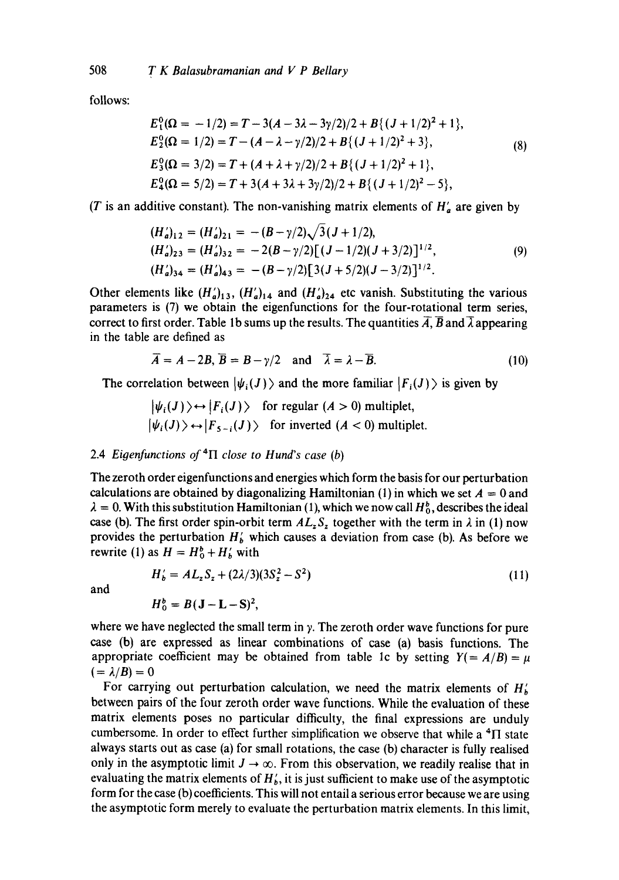follows:

$$
E_1^0(\Omega = -1/2) = T - 3(A - 3\lambda - 3\gamma/2)/2 + B\{(J + 1/2)^2 + 1\},
$$
  
\n
$$
E_2^0(\Omega = 1/2) = T - (A - \lambda - \gamma/2)/2 + B\{(J + 1/2)^2 + 3\},
$$
  
\n
$$
E_3^0(\Omega = 3/2) = T + (A + \lambda + \gamma/2)/2 + B\{(J + 1/2)^2 + 1\},
$$
  
\n
$$
E_4^0(\Omega = 5/2) = T + 3(A + 3\lambda + 3\gamma/2)/2 + B\{(J + 1/2)^2 - 5\},
$$
 (8)

(T is an additive constant). The non-vanishing matrix elements of  $H'_a$  are given by

$$
(H'_a)_{12} = (H'_a)_{21} = -(B - \gamma/2)\sqrt{3(J + 1/2)},
$$
  
\n
$$
(H'_a)_{23} = (H'_a)_{32} = -2(B - \gamma/2)[(J - 1/2)(J + 3/2)]^{1/2},
$$
  
\n
$$
(H'_a)_{34} = (H'_a)_{43} = -(B - \gamma/2)[3(J + 5/2)(J - 3/2)]^{1/2}.
$$
\n(9)

Other elements like  $(H'_a)_{13}$ ,  $(H'_a)_{14}$  and  $(H'_a)_{24}$  etc vanish. Substituting the various parameters is (7) we obtain the eigenfunctions for the four-rotational term series, correct to first order. Table 1b sums up the results. The quantities  $\overline{A}$ ,  $\overline{B}$  and  $\overline{\lambda}$  appearing in the table are defined as

$$
\overline{A} = A - 2B, \overline{B} = B - \gamma/2 \quad \text{and} \quad \overline{\lambda} = \lambda - \overline{B}.
$$
 (10)

The correlation between  $|\psi_i (J) \rangle$  and the more familiar  $|F_i (J) \rangle$  is given by

$$
|\psi_i(J)\rangle \leftrightarrow |F_i(J)\rangle \text{ for regular } (A > 0) \text{ multiplet,}
$$
  

$$
|\psi_i(J)\rangle \leftrightarrow |F_{5-i}(J)\rangle \text{ for inverted } (A < 0) \text{ multiplet.}
$$

## 2.4 *Eigenfunctions of 4II close to Hund's case (b)*

The zeroth order eigenfunctions and energies which form the basis for our perturbation calculations are obtained by diagonalizing Hamiltonian (1) in which we set  $A = 0$  and  $\lambda = 0$ . With this substitution Hamiltonian (1), which we now call  $H_0^b$ , describes the ideal case (b). The first order spin-orbit term  $AL_zS_z$  together with the term in  $\lambda$  in (1) now provides the perturbation  $H<sub>b</sub>$  which causes a deviation from case (b). As before we rewrite (1) as  $H = H_0^b + H_b'$  with

$$
H'_b = AL_z S_z + (2\lambda/3)(3S_z^2 - S^2)
$$
\n(11)

and

$$
H_0^b = B(\mathbf{J} - \mathbf{L} - \mathbf{S})^2,
$$

where we have neglected the small term in  $\gamma$ . The zeroth order wave functions for pure case (b) are expressed as linear combinations of case (a) basis functions. The appropriate coefficient may be obtained from table 1c by setting  $Y(= A/B) = \mu$  $(=\lambda/B)=0$ 

For carrying out perturbation calculation, we need the matrix elements of  $H'_{b}$ between pairs of the four zeroth order wave functions. While the evaluation of these matrix elements poses no particular difficulty, the final expressions are unduly cumbersome. In order to effect further simplification we observe that while a  ${}^{4}$  $\Pi$  state always starts out as case (a) for small rotations, the case (b) character is fully realised only in the asymptotic limit  $J \rightarrow \infty$ . From this observation, we readily realise that in evaluating the matrix elements of  $H_b'$ , it is just sufficient to make use of the asymptotic form for the case (b) coefficients. This will not entail a serious error because we are using the asymptotic form merely to evaluate the perturbation matrix elements. In this limit,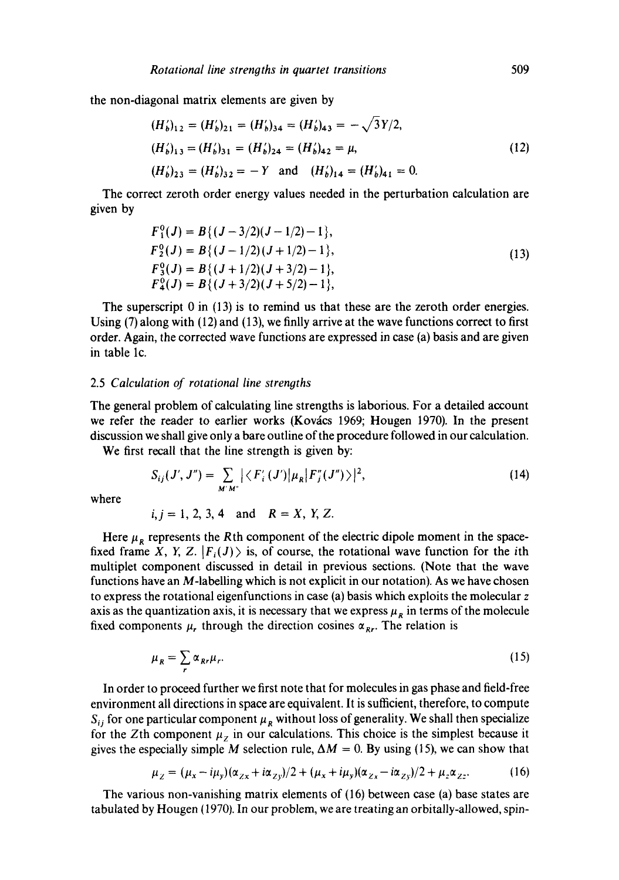the non-diagonal matrix elements are given by

$$
(H'_b)_{12} = (H'_b)_{21} = (H'_b)_{34} = (H'_b)_{43} = -\sqrt{3Y/2},
$$
  
\n
$$
(H'_b)_{13} = (H'_b)_{31} = (H'_b)_{24} = (H'_b)_{42} = \mu,
$$
  
\n
$$
(H'_b)_{23} = (H'_b)_{32} = -Y \text{ and } (H'_b)_{14} = (H'_b)_{41} = 0.
$$
\n(12)

The correct zeroth order energy values needed in the perturbation calculation are given by

$$
F_1^0(J) = B\{(J-3/2)(J-1/2)-1\},
$$
  
\n
$$
F_2^0(J) = B\{(J-1/2)(J+1/2)-1\},
$$
  
\n
$$
F_3^0(J) = B\{(J+1/2)(J+3/2)-1\},
$$
  
\n
$$
F_4^0(J) = B\{(J+3/2)(J+5/2)-1\},
$$
\n(13)

The superscript  $0$  in (13) is to remind us that these are the zeroth order energies. Using  $(7)$  along with  $(12)$  and  $(13)$ , we finlly arrive at the wave functions correct to first order. Again, the corrected wave functions are expressed in case (a) basis and are given in table lc.

## 2.5 *Calculation of rotational line strengths*

The general problem of calculating line strengths is laborious. For a detailed account we refer the reader to earlier works (Kovács 1969; Hougen 1970). In the present discussion we shall give only a bare outline of the procedure followed in our calculation.

We first recall that the line strength is given by:

$$
S_{ij}(J',J'') = \sum_{M'M'} |\langle F'_i(J')|\mu_R|F''_j(J'')\rangle|^2,
$$
 (14)

where

 $i, j = 1, 2, 3, 4$  and  $R = X, Y, Z$ .

Here  $\mu_R$  represents the Rth component of the electric dipole moment in the spacefixed frame X, Y, Z.  $|F_i(J)\rangle$  is, of course, the rotational wave function for the *i*th multiplet component discussed in detail in previous sections. (Note that the wave functions have an  $M$ -labelling which is not explicit in our notation). As we have chosen to express the rotational eigenfunctions in case (a) basis which exploits the molecular z axis as the quantization axis, it is necessary that we express  $\mu_R$  in terms of the molecule fixed components  $\mu_r$ , through the direction cosines  $\alpha_{\text{RF}}$ . The relation is

$$
\mu_R = \sum_r \alpha_{Rr} \mu_r. \tag{15}
$$

In order to proceed further we first note that for molecules in gas phase and field-free environment all directions in space are equivalent. It is sufficient, therefore, to compute  $S_{ij}$  for one particular component  $\mu_R$  without loss of generality. We shall then specialize for the Zth component  $\mu_z$  in our calculations. This choice is the simplest because it gives the especially simple M selection rule,  $\Delta M = 0$ . By using (15), we can show that

$$
\mu_Z = (\mu_x - i\mu_y)(\alpha_{Zx} + i\alpha_{Zy})/2 + (\mu_x + i\mu_y)(\alpha_{Zx} - i\alpha_{Zy})/2 + \mu_z \alpha_{Zz}.
$$
 (16)

The various non-vanishing matrix elements of (16) between case (a) base states are tabulated by Hougen (1970). In our problem, we are treating an orbitally-allowed, spin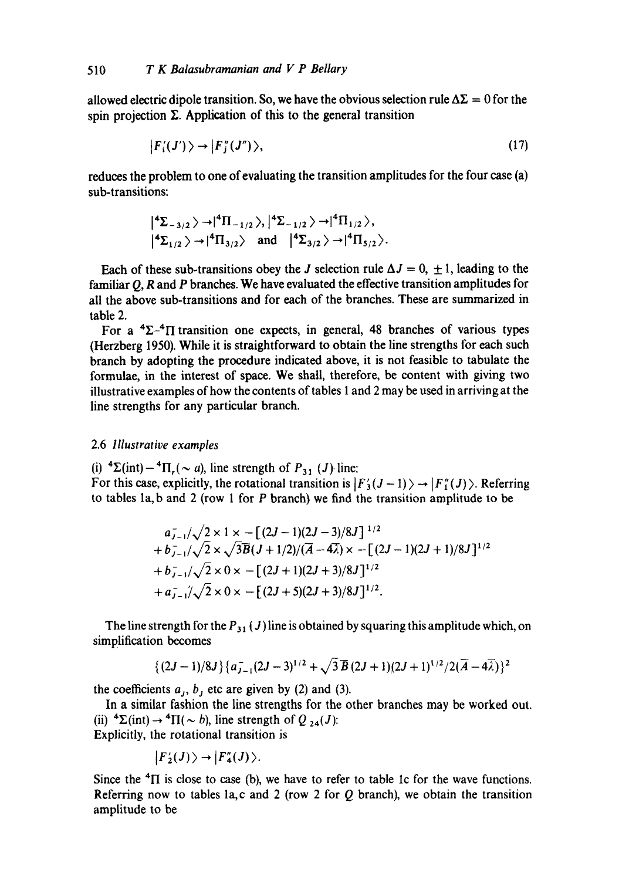allowed electric dipole transition. So, we have the obvious selection rule  $\Delta\Sigma = 0$  for the spin projection  $\Sigma$ . Application of this to the general transition

$$
|F_i'(J')\rangle \to |F_j''(J'')\rangle,\tag{17}
$$

reduces the problem to one of evaluating the transition amplitudes for the four case (a) sub-transitions:

$$
\left| \begin{array}{l} 4\Sigma_{-3/2} \end{array} \right\rangle \rightarrow \left| \begin{array}{l} 4\Pi_{-1/2} \end{array} \right\rangle, \left| \begin{array}{l} 4\Sigma_{-1/2} \end{array} \right\rangle \rightarrow \left| \begin{array}{l} 4\Pi_{1/2} \end{array} \right\rangle,
$$
  

$$
\left| \begin{array}{l} 4\Sigma_{1/2} \end{array} \right\rangle \rightarrow \left| \begin{array}{l} 4\Pi_{3/2} \end{array} \right\rangle \text{ and } \left| \begin{array}{l} 4\Sigma_{3/2} \end{array} \right\rangle \rightarrow \left| \begin{array}{l} 4\Pi_{5/2} \end{array} \right\rangle.
$$

Each of these sub-transitions obey the J selection rule  $\Delta J = 0, \pm 1$ , leading to the familiar Q, R and P branches. We have evaluated the effective transition amplitudes for all the above sub-transitions and for each of the branches. These are summarized in table 2.

For a  ${}^{4}\Sigma_{-}{}^{4}\Pi$  transition one expects, in general, 48 branches of various types (Herzberg 1950). While it is straightforward to obtain the line strengths for each such branch by adopting the procedure indicated above, it is not feasible to tabulate the formulae, in the interest of space. We shall, therefore, be content with giving two illustrative examples of how the contents of tables 1 and 2 may be used in arriving at the line strengths for any particular branch.

## 2.6 *Illustrative examples*

(i)  ${}^4\Sigma$ (int) -  ${}^4\Pi_r(\sim a)$ , line strength of  $P_{31}$  (J) line:

For this case, explicitly, the rotational transition is  $|F'_3(J-1)\rangle \rightarrow |F''_1(J)\rangle$ . Referring to tables  $1a$ , b and  $2$  (row  $1$  for  $P$  branch) we find the transition amplitude to be

$$
a_{J-1}^{-}/\sqrt{2 \times 1 \times - [(2J-1)(2J-3)/8J]^{1/2}}
$$
  
+  $b_{J-1}^{-}/\sqrt{2 \times \sqrt{3B}(J+1/2)/(A-4\lambda) \times - [(2J-1)(2J+1)/8J]^{1/2}}$   
+  $b_{J-1}^{-}/\sqrt{2 \times 0 \times - [(2J+1)(2J+3)/8J]^{1/2}}$   
+  $a_{J-1}^{-}/\sqrt{2 \times 0 \times - [(2J+5)(2J+3)/8J]^{1/2}}$ .

The line strength for the  $P_{31}(J)$  line is obtained by squaring this amplitude which, on simplification becomes

$$
{(2J-1)/8J}(a_{J-1}^-(2J-3)^{1/2}+\sqrt{3B}(2J+1)(2J+1)^{1/2}/2(\overline{A}-4\overline{\lambda}))^2
$$

the coefficients  $a_{j}$ ,  $b_{j}$  etc are given by (2) and (3).

In a similar fashion the line strengths for the other branches may be worked out. (ii)  ${}^4\Sigma$ (int)  $\rightarrow {}^4\Pi (\sim b)$ , line strength of Q <sub>24</sub>(J): Explicitly, the rotational transition is

$$
|F_2'(J)\rangle \rightarrow |F_4''(J)\rangle.
$$

Since the  ${}^{4}$ II is close to case (b), we have to refer to table 1c for the wave functions. Referring now to tables la, c and 2 (row 2 for  $Q$  branch), we obtain the transition amplitude to be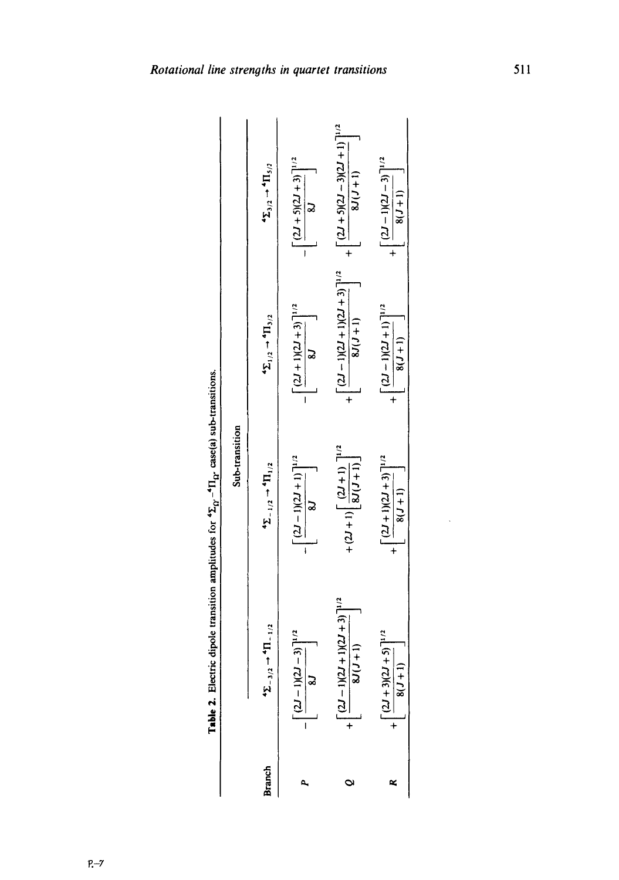|        |                                                               | Sub-transition                                         |                                                                                                                |                                                                                     |
|--------|---------------------------------------------------------------|--------------------------------------------------------|----------------------------------------------------------------------------------------------------------------|-------------------------------------------------------------------------------------|
| Branch | $\rightarrow$ <sup>4</sup> $\Pi$ <sub>-1/2</sub><br>$2 - 3/2$ | $T_{-1/2}$ + $T_{1/2}$                                 | $4\Sigma_{1/2} \rightarrow 4\Pi_{3/2}$                                                                         | $\begin{aligned} \mathbf{A\Sigma}_{3/2} \rightarrow \mathbf{H}_{5/2} \end{aligned}$ |
|        | $-3$ ] <sup>1/2</sup><br>$L(1 - L)$                           | $\left[\frac{(2J-1)(2J+1)}{8J}\right]^{1/2}$           | $\left[\frac{(2J+1)(2J+3)}{8J}\right]^{1/2}$                                                                   | $\left[\frac{(2J+5)(2J+3)}{8J}\right]^{1/2}$                                        |
|        | $\left[\frac{(2J-1)(2J+1)(2J+3)}{8J(J+1)}\right]^{1/2}$       | $+ (2J+1) \left[ \frac{(2J+1)}{8J(J+1)} \right]^{1/2}$ | $+\left[\frac{(2J-1)(2J+1)(2J+3)}{8J(J+1)}\right]^{1/2}+\left[\frac{(2J+5)(2J-3)(2J+1)}{8J(J+1)}\right]^{1/2}$ |                                                                                     |
|        | $(1+5)$ <sup>1/2</sup><br>$\lceil (2J+3) (2J$                 | $\left[\frac{(2J+1)(2J+3)}{8(J+1)}\right]^{1/2}$       | $+\left[\frac{(2J-1)(2J+1)}{8(J+1)}\right]^{1/2}$                                                              | $+\left[\frac{(2J-1)(2J-3)}{8(J+1)}\right]^{1/2}$                                   |

**Table 2.** Electric dipole transition amplitudes for  ${}^{4}\Sigma_{0}$ ,  ${}^{4}\Pi_{0}$ , case(a) sub-transitions. Table 2. Electric dipole transition amplitudes for  ${}^{4}\Sigma_{\Omega}$  - ${}^{4}\Pi_{\Omega}$  case(a) sub-transitions.